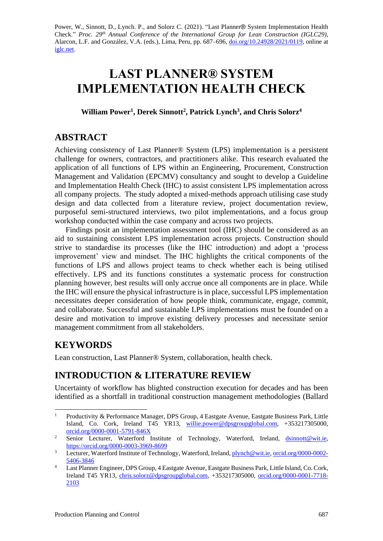Power, W., Sinnott, D., Lynch. P., and Solorz C. (2021). "Last Planner® System Implementation Health Check." *Proc. 29 th Annual Conference of the International Group for Lean Construction (IGLC29),*  Alarcon, L.F. and González, V.A. (eds.)*,* Lima, Peru, pp. 687–696, [doi.org/10.24928/2021/0119,](https://doi.org/10.24928/2021/0119) online at [iglc.net.](http://iglc.net/)

# **LAST PLANNER® SYSTEM IMPLEMENTATION HEALTH CHECK**

**William Power<sup>1</sup> , Derek Sinnott<sup>2</sup> , Patrick Lynch<sup>3</sup> , and Chris Solorz<sup>4</sup>**

# **ABSTRACT**

Achieving consistency of Last Planner® System (LPS) implementation is a persistent challenge for owners, contractors, and practitioners alike. This research evaluated the application of all functions of LPS within an Engineering, Procurement, Construction Management and Validation (EPCMV) consultancy and sought to develop a Guideline and Implementation Health Check (IHC) to assist consistent LPS implementation across all company projects. The study adopted a mixed-methods approach utilising case study design and data collected from a literature review, project documentation review, purposeful semi-structured interviews, two pilot implementations, and a focus group workshop conducted within the case company and across two projects.

Findings posit an implementation assessment tool (IHC) should be considered as an aid to sustaining consistent LPS implementation across projects. Construction should strive to standardise its processes (like the IHC introduction) and adopt a 'process improvement' view and mindset. The IHC highlights the critical components of the functions of LPS and allows project teams to check whether each is being utilised effectively. LPS and its functions constitutes a systematic process for construction planning however, best results will only accrue once all components are in place. While the IHC will ensure the physical infrastructure is in place, successful LPS implementation necessitates deeper consideration of how people think, communicate, engage, commit, and collaborate. Successful and sustainable LPS implementations must be founded on a desire and motivation to improve existing delivery processes and necessitate senior management commitment from all stakeholders.

# **KEYWORDS**

Lean construction, Last Planner® System, collaboration, health check.

# **INTRODUCTION & LITERATURE REVIEW**

Uncertainty of workflow has blighted construction execution for decades and has been identified as a shortfall in traditional construction management methodologies (Ballard

<sup>&</sup>lt;sup>1</sup> Productivity & Performance Manager, DPS Group, 4 Eastgate Avenue, Eastgate Business Park, Little Island, Co. Cork, Ireland T45 YR13, [willie.power@dpsgroupglobal.com,](mailto:willie.power@dpsgroupglobal.com) +353217305000, [orcid.org/0000-0001-5791-846X](https://orcid.org/0000-0001-5791-846X)

<sup>&</sup>lt;sup>2</sup> Senior Lecturer, Waterford Institute of Technology, Waterford, Ireland, *dsinnott@wit.ie*, <https://orcid.org/0000-0003-3969-8699>

<sup>&</sup>lt;sup>3</sup> Lecturer, Waterford Institute of Technology, Waterford, Ireland, [plynch@wit.ie,](mailto:plynch@wit.ie) [orcid.org/0000-0002-](https://orcid.org/0000-0002-5406-3846) [5406-3846](https://orcid.org/0000-0002-5406-3846)

<sup>&</sup>lt;sup>4</sup> Last Planner Engineer, DPS Group, 4 Eastgate Avenue, Eastgate Business Park, Little Island, Co. Cork, Ireland T45 YR13, [chris.solorz@dpsgroupglobal.com,](mailto:chris.solorz@dpsgroupglobal.com) +353217305000, [orcid.org/0000-0001-7718-](https://orcid.org/0000-0001-7718-2103) [2103](https://orcid.org/0000-0001-7718-2103)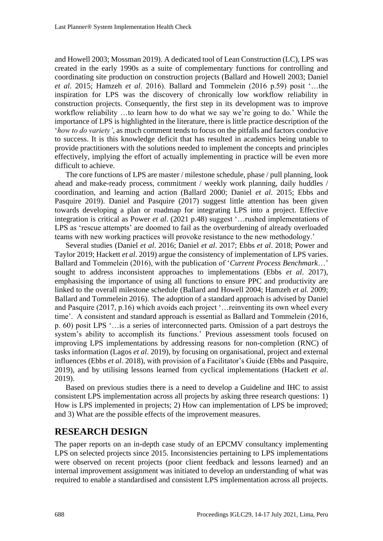and Howell 2003; Mossman 2019). A dedicated tool of Lean Construction (LC), LPS was created in the early 1990s as a suite of complementary functions for controlling and coordinating site production on construction projects (Ballard and Howell 2003; Daniel *et al*. 2015; Hamzeh *et al*. 2016). Ballard and Tommelein (2016 p.59) posit '…the inspiration for LPS was the discovery of chronically low workflow reliability in construction projects. Consequently, the first step in its development was to improve workflow reliability …to learn how to do what we say we're going to do.' While the importance of LPS is highlighted in the literature, there is little practice description of the '*how to do variety'*, as much comment tends to focus on the pitfalls and factors conducive to success. It is this knowledge deficit that has resulted in academics being unable to provide practitioners with the solutions needed to implement the concepts and principles effectively, implying the effort of actually implementing in practice will be even more difficult to achieve.

The core functions of LPS are master / milestone schedule, phase / pull planning, look ahead and make-ready process, commitment / weekly work planning, daily huddles / coordination, and learning and action (Ballard 2000; Daniel *et al*. 2015; Ebbs and Pasquire 2019). Daniel and Pasquire (2017) suggest little attention has been given towards developing a plan or roadmap for integrating LPS into a project. Effective integration is critical as Power *et al*. (2021 p.48) suggest '…rushed implementations of LPS as 'rescue attempts' are doomed to fail as the overburdening of already overloaded teams with new working practices will provoke resistance to the new methodology.'

Several studies (Daniel *et al*. 2016; Daniel *et al*. 2017; Ebbs *et al*. 2018; Power and Taylor 2019; Hackett *et al*. 2019) argue the consistency of implementation of LPS varies. Ballard and Tommelein (2016), with the publication of '*Current Process Benchmark*…' sought to address inconsistent approaches to implementations (Ebbs *et al*. 2017), emphasising the importance of using all functions to ensure PPC and productivity are linked to the overall milestone schedule (Ballard and Howell 2004; Hamzeh *et al.* 2009; Ballard and Tommelein 2016). The adoption of a standard approach is advised by Daniel and Pasquire (2017, p.16) which avoids each project '…reinventing its own wheel every time'. A consistent and standard approach is essential as Ballard and Tommelein (2016, p. 60) posit LPS '…is a series of interconnected parts. Omission of a part destroys the system's ability to accomplish its functions.' Previous assessment tools focused on improving LPS implementations by addressing reasons for non-completion (RNC) of tasks information (Lagos *et al*. 2019), by focusing on organisational, project and external influences (Ebbs *et al*. 2018), with provision of a Facilitator's Guide (Ebbs and Pasquire, 2019), and by utilising lessons learned from cyclical implementations (Hackett *et al*. 2019).

Based on previous studies there is a need to develop a Guideline and IHC to assist consistent LPS implementation across all projects by asking three research questions: 1) How is LPS implemented in projects; 2) How can implementation of LPS be improved; and 3) What are the possible effects of the improvement measures.

### **RESEARCH DESIGN**

The paper reports on an in-depth case study of an EPCMV consultancy implementing LPS on selected projects since 2015. Inconsistencies pertaining to LPS implementations were observed on recent projects (poor client feedback and lessons learned) and an internal improvement assignment was initiated to develop an understanding of what was required to enable a standardised and consistent LPS implementation across all projects.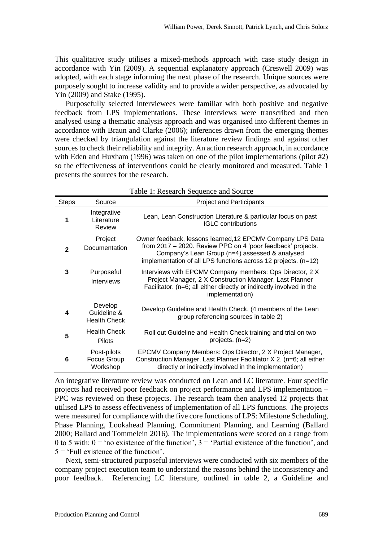This qualitative study utilises a mixed-methods approach with case study design in accordance with Yin (2009). A sequential explanatory approach (Creswell 2009) was adopted, with each stage informing the next phase of the research. Unique sources were purposely sought to increase validity and to provide a wider perspective, as advocated by Yin (2009) and Stake (1995).

Purposefully selected interviewees were familiar with both positive and negative feedback from LPS implementations. These interviews were transcribed and then analysed using a thematic analysis approach and was organised into different themes in accordance with Braun and Clarke (2006); inferences drawn from the emerging themes were checked by triangulation against the literature review findings and against other sources to check their reliability and integrity. An action research approach, in accordance with Eden and Huxham (1996) was taken on one of the pilot implementations (pilot #2) so the effectiveness of interventions could be clearly monitored and measured. Table 1 presents the sources for the research.

| <b>Steps</b> | Source                                        | <b>Project and Participants</b>                                                                                                                                                                                                               |
|--------------|-----------------------------------------------|-----------------------------------------------------------------------------------------------------------------------------------------------------------------------------------------------------------------------------------------------|
| 1            | Integrative<br>Literature<br><b>Review</b>    | Lean, Lean Construction Literature & particular focus on past<br><b>IGLC</b> contributions                                                                                                                                                    |
| $\mathbf{2}$ | Project<br>Documentation                      | Owner feedback, lessons learned, 12 EPCMV Company LPS Data<br>from 2017 - 2020. Review PPC on 4 'poor feedback' projects.<br>Company's Lean Group (n=4) assessed & analysed<br>implementation of all LPS functions across 12 projects. (n=12) |
| 3            | Purposeful<br><b>Interviews</b>               | Interviews with EPCMV Company members: Ops Director, 2 X<br>Project Manager, 2 X Construction Manager, Last Planner<br>Facilitator. (n=6; all either directly or indirectly involved in the<br>implementation)                                |
| 4            | Develop<br>Guideline &<br><b>Health Check</b> | Develop Guideline and Health Check. (4 members of the Lean<br>group referencing sources in table 2)                                                                                                                                           |
| 5            | <b>Health Check</b><br>Pilots                 | Roll out Guideline and Health Check training and trial on two<br>projects. $(n=2)$                                                                                                                                                            |
| 6            | Post-pilots<br>Focus Group<br>Workshop        | EPCMV Company Members: Ops Director, 2 X Project Manager,<br>Construction Manager, Last Planner Facilitator X 2. (n=6; all either<br>directly or indirectly involved in the implementation)                                                   |

Table 1: Research Sequence and Source

An integrative literature review was conducted on Lean and LC literature. Four specific projects had received poor feedback on project performance and LPS implementation – PPC was reviewed on these projects. The research team then analysed 12 projects that utilised LPS to assess effectiveness of implementation of all LPS functions. The projects were measured for compliance with the five core functions of LPS: Milestone Scheduling, Phase Planning, Lookahead Planning, Commitment Planning, and Learning (Ballard 2000; Ballard and Tommelein 2016). The implementations were scored on a range from 0 to 5 with:  $0 = \text{'no existence of the function', } 3 = \text{'Partial existence of the function', and}$  $5 = 'Full existence of the function'.$ 

Next, semi-structured purposeful interviews were conducted with six members of the company project execution team to understand the reasons behind the inconsistency and poor feedback. Referencing LC literature, outlined in table 2, a Guideline and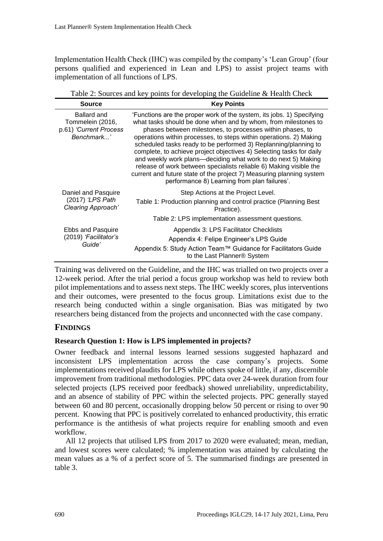Implementation Health Check (IHC) was compiled by the company's 'Lean Group' (four persons qualified and experienced in Lean and LPS) to assist project teams with implementation of all functions of LPS.

Table 2: Sources and key points for developing the Guideline & Health Check

| <b>Source</b>                                                           | <b>Key Points</b>                                                                                                                                                                                                                                                                                                                                                                                                                                                                                                                                                                                                                                                                    |
|-------------------------------------------------------------------------|--------------------------------------------------------------------------------------------------------------------------------------------------------------------------------------------------------------------------------------------------------------------------------------------------------------------------------------------------------------------------------------------------------------------------------------------------------------------------------------------------------------------------------------------------------------------------------------------------------------------------------------------------------------------------------------|
| Ballard and<br>Tommelein (2016,<br>p.61) 'Current Process<br>Benchmark' | 'Functions are the proper work of the system, its jobs. 1) Specifying<br>what tasks should be done when and by whom, from milestones to<br>phases between milestones, to processes within phases, to<br>operations within processes, to steps within operations. 2) Making<br>scheduled tasks ready to be performed 3) Replanning/planning to<br>complete, to achieve project objectives 4) Selecting tasks for daily<br>and weekly work plans—deciding what work to do next 5) Making<br>release of work between specialists reliable 6) Making visible the<br>current and future state of the project 7) Measuring planning system<br>performance 8) Learning from plan failures'. |
| Daniel and Pasquire<br>(2017) 'LPS Path<br>Clearing Approach'           | Step Actions at the Project Level.<br>Table 1: Production planning and control practice (Planning Best<br>Practice).<br>Table 2: LPS implementation assessment questions.                                                                                                                                                                                                                                                                                                                                                                                                                                                                                                            |
| Ebbs and Pasquire<br>(2019) 'Facilitator's<br>Guide'                    | Appendix 3: LPS Facilitator Checklists<br>Appendix 4: Felipe Engineer's LPS Guide                                                                                                                                                                                                                                                                                                                                                                                                                                                                                                                                                                                                    |
|                                                                         | Appendix 5: Study Action Team™ Guidance for Facilitators Guide<br>to the Last Planner® System                                                                                                                                                                                                                                                                                                                                                                                                                                                                                                                                                                                        |

Training was delivered on the Guideline, and the IHC was trialled on two projects over a 12-week period. After the trial period a focus group workshop was held to review both pilot implementations and to assess next steps. The IHC weekly scores, plus interventions and their outcomes, were presented to the focus group. Limitations exist due to the research being conducted within a single organisation. Bias was mitigated by two researchers being distanced from the projects and unconnected with the case company.

### **FINDINGS**

### **Research Question 1: How is LPS implemented in projects?**

Owner feedback and internal lessons learned sessions suggested haphazard and inconsistent LPS implementation across the case company's projects. Some implementations received plaudits for LPS while others spoke of little, if any, discernible improvement from traditional methodologies. PPC data over 24-week duration from four selected projects (LPS received poor feedback) showed unreliability, unpredictability, and an absence of stability of PPC within the selected projects. PPC generally stayed between 60 and 80 percent, occasionally dropping below 50 percent or rising to over 90 percent. Knowing that PPC is positively correlated to enhanced productivity, this erratic performance is the antithesis of what projects require for enabling smooth and even workflow.

All 12 projects that utilised LPS from 2017 to 2020 were evaluated; mean, median, and lowest scores were calculated; % implementation was attained by calculating the mean values as a % of a perfect score of 5. The summarised findings are presented in table 3.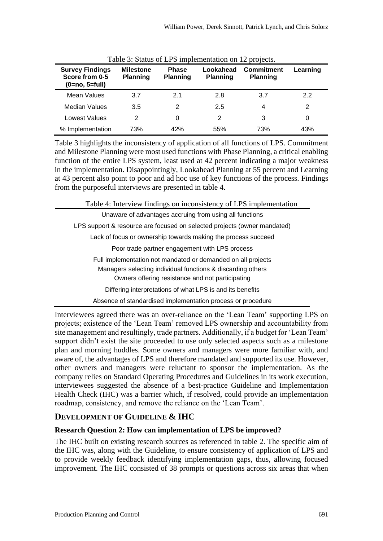| <b>Survey Findings</b><br>Score from 0-5<br>$(0=no, 5=full)$ | <b>Milestone</b><br><b>Planning</b> | <b>Phase</b><br><b>Planning</b> | Lookahead<br><b>Planning</b> | <b>Commitment</b><br><b>Planning</b> | Learning |
|--------------------------------------------------------------|-------------------------------------|---------------------------------|------------------------------|--------------------------------------|----------|
| Mean Values                                                  | 3.7                                 | 2.1                             | 2.8                          | 3.7                                  | 2.2      |
| Median Values                                                | 3.5                                 | 2                               | 2.5                          | 4                                    | 2        |
| Lowest Values                                                | 2                                   | 0                               | 2                            | 3                                    | 0        |
| % Implementation                                             | 73%                                 | 42%                             | 55%                          | 73%                                  | 43%      |

| Table 3: Status of LPS implementation on 12 projects. |  |  |  |  |
|-------------------------------------------------------|--|--|--|--|
|-------------------------------------------------------|--|--|--|--|

Table 3 highlights the inconsistency of application of all functions of LPS. Commitment and Milestone Planning were most used functions with Phase Planning, a critical enabling function of the entire LPS system, least used at 42 percent indicating a major weakness in the implementation. Disappointingly, Lookahead Planning at 55 percent and Learning at 43 percent also point to poor and ad hoc use of key functions of the process. Findings from the purposeful interviews are presented in table 4.

Table 4: Interview findings on inconsistency of LPS implementation

| Unaware of advantages accruing from using all functions                  |
|--------------------------------------------------------------------------|
| LPS support & resource are focused on selected projects (owner mandated) |
| Lack of focus or ownership towards making the process succeed            |
| Poor trade partner engagement with LPS process                           |
| Full implementation not mandated or demanded on all projects             |
| Managers selecting individual functions & discarding others              |
| Owners offering resistance and not participating                         |
| Differing interpretations of what LPS is and its benefits                |
| Absence of standardised implementation process or procedure              |

Interviewees agreed there was an over-reliance on the 'Lean Team' supporting LPS on projects; existence of the 'Lean Team' removed LPS ownership and accountability from site management and resultingly, trade partners. Additionally, if a budget for 'Lean Team' support didn't exist the site proceeded to use only selected aspects such as a milestone plan and morning huddles. Some owners and managers were more familiar with, and aware of, the advantages of LPS and therefore mandated and supported its use. However, other owners and managers were reluctant to sponsor the implementation. As the company relies on Standard Operating Procedures and Guidelines in its work execution, interviewees suggested the absence of a best-practice Guideline and Implementation Health Check (IHC) was a barrier which, if resolved, could provide an implementation roadmap, consistency, and remove the reliance on the 'Lean Team'.

### **DEVELOPMENT OF GUIDELINE & IHC**

### **Research Question 2: How can implementation of LPS be improved?**

The IHC built on existing research sources as referenced in table 2. The specific aim of the IHC was, along with the Guideline, to ensure consistency of application of LPS and to provide weekly feedback identifying implementation gaps, thus, allowing focused improvement. The IHC consisted of 38 prompts or questions across six areas that when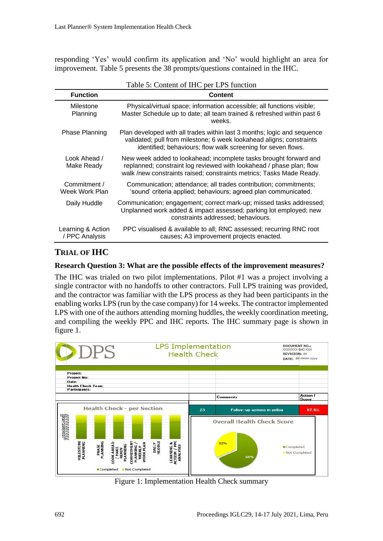responding 'Yes' would confirm its application and 'No' would highlight an area for improvement. Table 5 presents the 38 prompts/questions contained in the IHC.

|                                     | rable 5. Content of fire per Li 5 ranchon                                                                                                                                                                         |
|-------------------------------------|-------------------------------------------------------------------------------------------------------------------------------------------------------------------------------------------------------------------|
| <b>Function</b>                     | <b>Content</b>                                                                                                                                                                                                    |
| Milestone<br>Planning               | Physical/virtual space; information accessible; all functions visible;<br>Master Schedule up to date; all team trained & refreshed within past 6<br>weeks.                                                        |
| <b>Phase Planning</b>               | Plan developed with all trades within last 3 months; logic and sequence<br>validated; pull from milestone; 6 week lookahead aligns; constraints<br>identified; behaviours; flow walk screening for seven flows.   |
| Look Ahead /<br>Make Ready          | New week added to lookahead; incomplete tasks brought forward and<br>replanned; constraint log reviewed with lookahead / phase plan; flow<br>walk /new constraints raised; constraints metrics; Tasks Made Ready. |
| Commitment /<br>Week Work Plan      | Communication; attendance; all trades contribution; commitments;<br>'sound' criteria applied; behaviours; agreed plan communicated.                                                                               |
| Daily Huddle                        | Communication; engagement; correct mark-up; missed tasks addressed;<br>Unplanned work added & impact assessed; parking lot employed; new<br>constraints addressed; behaviours.                                    |
| Learning & Action<br>/ PPC Analysis | PPC visualised & available to all; RNC assessed; recurring RNC root<br>causes; A3 improvement projects enacted.                                                                                                   |

Table 5: Content of IHC per LPS function

### **TRIAL OF IHC**

#### **Research Question 3: What are the possible effects of the improvement measures?**

The IHC was trialed on two pilot implementations. Pilot #1 was a project involving a single contractor with no handoffs to other contractors. Full LPS training was provided, and the contractor was familiar with the LPS process as they had been participants in the enabling works LPS (run by the case company) for 14 weeks. The contractor implemented LPS with one of the authors attending morning huddles, the weekly coordination meeting, and compiling the weekly PPC and IHC reports. The IHC summary page is shown in figure 1.



Figure 1: Implementation Health Check summary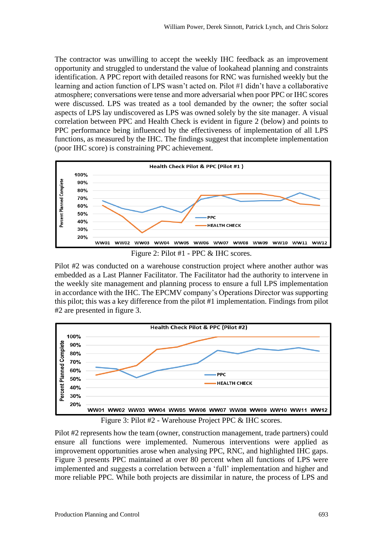The contractor was unwilling to accept the weekly IHC feedback as an improvement opportunity and struggled to understand the value of lookahead planning and constraints identification. A PPC report with detailed reasons for RNC was furnished weekly but the learning and action function of LPS wasn't acted on. Pilot #1 didn't have a collaborative atmosphere; conversations were tense and more adversarial when poor PPC or IHC scores were discussed. LPS was treated as a tool demanded by the owner; the softer social aspects of LPS lay undiscovered as LPS was owned solely by the site manager. A visual correlation between PPC and Health Check is evident in figure 2 (below) and points to PPC performance being influenced by the effectiveness of implementation of all LPS functions, as measured by the IHC. The findings suggest that incomplete implementation (poor IHC score) is constraining PPC achievement.



Figure 2: Pilot #1 - PPC & IHC scores.

Pilot #2 was conducted on a warehouse construction project where another author was embedded as a Last Planner Facilitator. The Facilitator had the authority to intervene in the weekly site management and planning process to ensure a full LPS implementation in accordance with the IHC. The EPCMV company's Operations Director was supporting this pilot; this was a key difference from the pilot #1 implementation. Findings from pilot #2 are presented in figure 3.



Figure 3: Pilot #2 - Warehouse Project PPC & IHC scores.

Pilot #2 represents how the team (owner, construction management, trade partners) could ensure all functions were implemented. Numerous interventions were applied as improvement opportunities arose when analysing PPC, RNC, and highlighted IHC gaps. Figure 3 presents PPC maintained at over 80 percent when all functions of LPS were implemented and suggests a correlation between a 'full' implementation and higher and more reliable PPC. While both projects are dissimilar in nature, the process of LPS and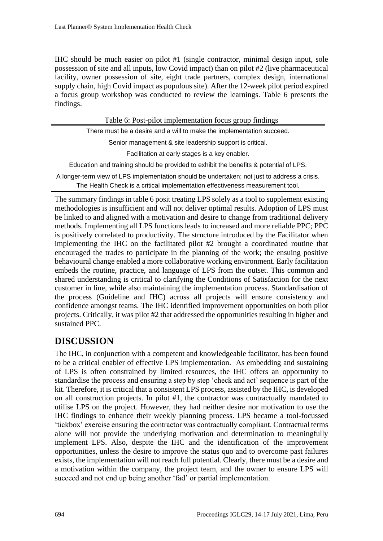IHC should be much easier on pilot #1 (single contractor, minimal design input, sole possession of site and all inputs, low Covid impact) than on pilot #2 (live pharmaceutical facility, owner possession of site, eight trade partners, complex design, international supply chain, high Covid impact as populous site). After the 12-week pilot period expired a focus group workshop was conducted to review the learnings. Table 6 presents the findings.

| Table 6: Post-pilot implementation focus group findings                                      |
|----------------------------------------------------------------------------------------------|
| There must be a desire and a will to make the implementation succeed.                        |
| Senior management & site leadership support is critical.                                     |
| Facilitation at early stages is a key enabler.                                               |
| Education and training should be provided to exhibit the benefits & potential of LPS.        |
| A longer-term view of LPS implementation should be undertaken; not just to address a crisis. |
| The Health Check is a critical implementation effectiveness measurement tool.                |

The summary findings in table 6 posit treating LPS solely as a tool to supplement existing methodologies is insufficient and will not deliver optimal results. Adoption of LPS must be linked to and aligned with a motivation and desire to change from traditional delivery methods. Implementing all LPS functions leads to increased and more reliable PPC; PPC is positively correlated to productivity. The structure introduced by the Facilitator when implementing the IHC on the facilitated pilot #2 brought a coordinated routine that encouraged the trades to participate in the planning of the work; the ensuing positive behavioural change enabled a more collaborative working environment. Early facilitation embeds the routine, practice, and language of LPS from the outset. This common and shared understanding is critical to clarifying the Conditions of Satisfaction for the next customer in line, while also maintaining the implementation process. Standardisation of the process (Guideline and IHC) across all projects will ensure consistency and confidence amongst teams. The IHC identified improvement opportunities on both pilot projects. Critically, it was pilot #2 that addressed the opportunities resulting in higher and sustained PPC.

# **DISCUSSION**

The IHC, in conjunction with a competent and knowledgeable facilitator, has been found to be a critical enabler of effective LPS implementation. As embedding and sustaining of LPS is often constrained by limited resources, the IHC offers an opportunity to standardise the process and ensuring a step by step 'check and act' sequence is part of the kit. Therefore, it is critical that a consistent LPS process, assisted by the IHC, is developed on all construction projects. In pilot #1, the contractor was contractually mandated to utilise LPS on the project. However, they had neither desire nor motivation to use the IHC findings to enhance their weekly planning process. LPS became a tool-focussed 'tickbox' exercise ensuring the contractor was contractually compliant. Contractual terms alone will not provide the underlying motivation and determination to meaningfully implement LPS. Also, despite the IHC and the identification of the improvement opportunities, unless the desire to improve the status quo and to overcome past failures exists, the implementation will not reach full potential. Clearly, there must be a desire and a motivation within the company, the project team, and the owner to ensure LPS will succeed and not end up being another 'fad' or partial implementation.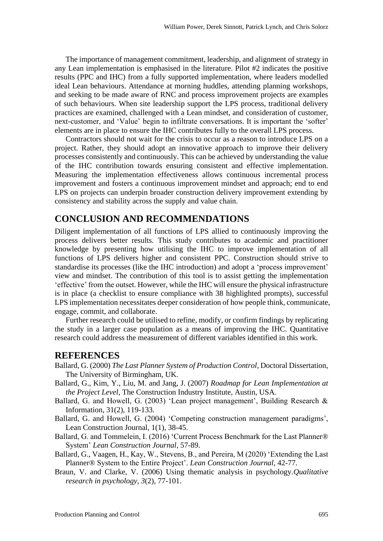The importance of management commitment, leadership, and alignment of strategy in any Lean implementation is emphasised in the literature. Pilot #2 indicates the positive results (PPC and IHC) from a fully supported implementation, where leaders modelled ideal Lean behaviours. Attendance at morning huddles, attending planning workshops, and seeking to be made aware of RNC and process improvement projects are examples of such behaviours. When site leadership support the LPS process, traditional delivery practices are examined, challenged with a Lean mindset, and consideration of customer, next-customer, and 'Value' begin to infiltrate conversations. It is important the 'softer' elements are in place to ensure the IHC contributes fully to the overall LPS process.

Contractors should not wait for the crisis to occur as a reason to introduce LPS on a project. Rather, they should adopt an innovative approach to improve their delivery processes consistently and continuously. This can be achieved by understanding the value of the IHC contribution towards ensuring consistent and effective implementation. Measuring the implementation effectiveness allows continuous incremental process improvement and fosters a continuous improvement mindset and approach; end to end LPS on projects can underpin broader construction delivery improvement extending by consistency and stability across the supply and value chain.

### **CONCLUSION AND RECOMMENDATIONS**

Diligent implementation of all functions of LPS allied to continuously improving the process delivers better results. This study contributes to academic and practitioner knowledge by presenting how utilising the IHC to improve implementation of all functions of LPS delivers higher and consistent PPC. Construction should strive to standardise its processes (like the IHC introduction) and adopt a 'process improvement' view and mindset. The contribution of this tool is to assist getting the implementation 'effective' from the outset. However, while the IHC will ensure the physical infrastructure is in place (a checklist to ensure compliance with 38 highlighted prompts), successful LPS implementation necessitates deeper consideration of how people think, communicate, engage, commit, and collaborate.

Further research could be utilised to refine, modify, or confirm findings by replicating the study in a larger case population as a means of improving the IHC. Quantitative research could address the measurement of different variables identified in this work.

### **REFERENCES**

- Ballard, G. (2000) *The Last Planner System of Production Control*, Doctoral Dissertation, The University of Birmingham, UK.
- Ballard, G., Kim, Y., Liu, M. and Jang, J. (2007) *Roadmap for Lean Implementation at the Project Level*, The Construction Industry Institute, Austin, USA.
- Ballard, G. and Howell, G. (2003) 'Lean project management', Building Research & Information, 31(2), 119-133.
- Ballard, G. and Howell, G. (2004) 'Competing construction management paradigms', Lean Construction Journal, 1(1), 38-45.
- Ballard, G. and Tommelein, I. (2016) 'Current Process Benchmark for the Last Planner® System' *Lean Construction Journal*, 57-89.
- Ballard, G., Vaagen, H., Kay, W., Stevens, B., and Pereira, M (2020) 'Extending the Last Planner® System to the Entire Project'. *Lean Construction Journal*, 42-77.
- Braun, V. and Clarke, V. (2006) Using thematic analysis in psychology.*Qualitative research in psychology*, *3*(2), 77-101.